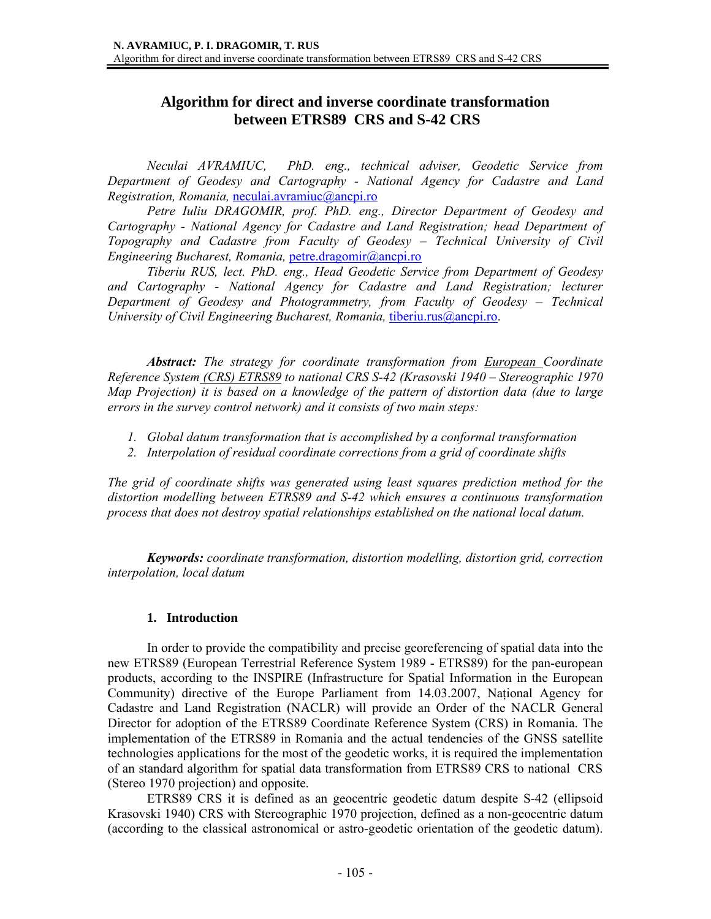# **Algorithm for direct and inverse coordinate transformation between ETRS89 CRS and S-42 CRS**

*Neculai AVRAMIUC, PhD. eng., technical adviser, Geodetic Service from Department of Geodesy and Cartography - National Agency for Cadastre and Land Registration, Romania,* neculai.avramiuc@ancpi.ro

*Petre Iuliu DRAGOMIR, prof. PhD. eng., Director Department of Geodesy and Cartography - National Agency for Cadastre and Land Registration; head Department of Topography and Cadastre from Faculty of Geodesy – Technical University of Civil Engineering Bucharest, Romania, petre.dragomir@ancpi.ro* 

*Tiberiu RUS, lect. PhD. eng., Head Geodetic Service from Department of Geodesy and Cartography - National Agency for Cadastre and Land Registration; lecturer Department of Geodesy and Photogrammetry, from Faculty of Geodesy – Technical University of Civil Engineering Bucharest, Romania, tiberiu.rus@ancpi.ro.* 

*Abstract: The strategy for coordinate transformation from European Coordinate Reference System (CRS) ETRS89 to national CRS S-42 (Krasovski 1940 – Stereographic 1970 Map Projection) it is based on a knowledge of the pattern of distortion data (due to large errors in the survey control network) and it consists of two main steps:* 

- *1. Global datum transformation that is accomplished by a conformal transformation*
- *2. Interpolation of residual coordinate corrections from a grid of coordinate shifts*

*The grid of coordinate shifts was generated using least squares prediction method for the distortion modelling between ETRS89 and S-42 which ensures a continuous transformation process that does not destroy spatial relationships established on the national local datum.* 

*Keywords: coordinate transformation, distortion modelling, distortion grid, correction interpolation, local datum* 

#### **1. Introduction**

In order to provide the compatibility and precise georeferencing of spatial data into the new ETRS89 (European Terrestrial Reference System 1989 - ETRS89) for the pan-european products, according to the INSPIRE (Infrastructure for Spatial Information in the European Community) directive of the Europe Parliament from 14.03.2007, Naţional Agency for Cadastre and Land Registration (NACLR) will provide an Order of the NACLR General Director for adoption of the ETRS89 Coordinate Reference System (CRS) in Romania. The implementation of the ETRS89 in Romania and the actual tendencies of the GNSS satellite technologies applications for the most of the geodetic works, it is required the implementation of an standard algorithm for spatial data transformation from ETRS89 CRS to national CRS (Stereo 1970 projection) and opposite.

ETRS89 CRS it is defined as an geocentric geodetic datum despite S-42 (ellipsoid Krasovski 1940) CRS with Stereographic 1970 projection, defined as a non-geocentric datum (according to the classical astronomical or astro-geodetic orientation of the geodetic datum).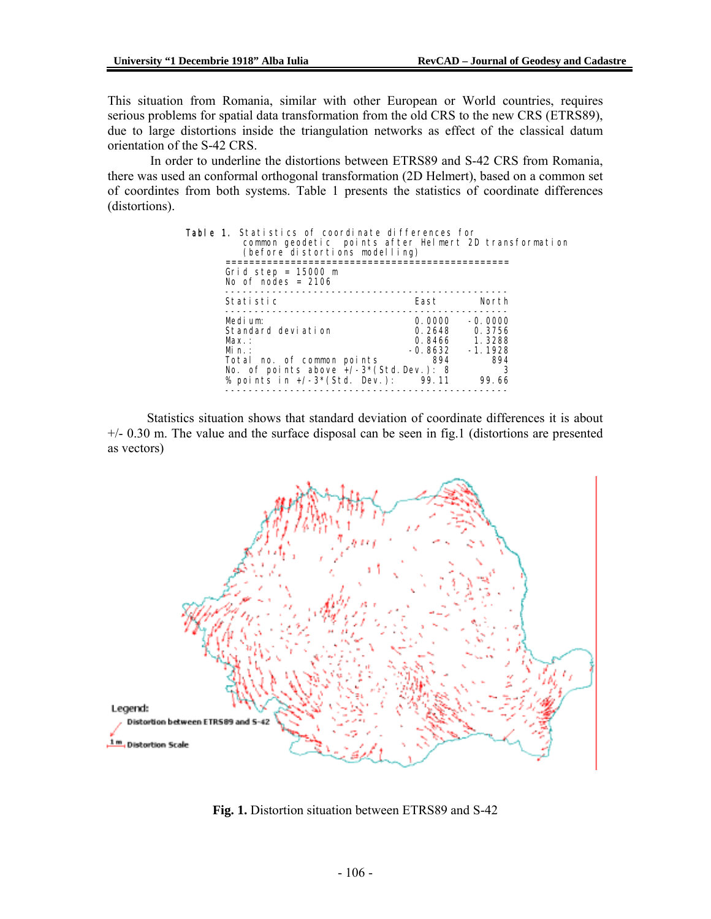This situation from Romania, similar with other European or World countries, requires serious problems for spatial data transformation from the old CRS to the new CRS (ETRS89), due to large distortions inside the triangulation networks as effect of the classical datum orientation of the S-42 CRS.

 In order to underline the distortions between ETRS89 and S-42 CRS from Romania, there was used an conformal orthogonal transformation (2D Helmert), based on a common set of coordintes from both systems. Table 1 presents the statistics of coordinate differences (distortions).

| <b>Table 1.</b> Statistics of coordinate differences for<br>common geodetic points after Helmert 2D transformation<br>(before distortions modelling)           |                                             |                                                                        |  |  |
|----------------------------------------------------------------------------------------------------------------------------------------------------------------|---------------------------------------------|------------------------------------------------------------------------|--|--|
| Grid step = $15000 \text{ m}$<br>No of nodes = $2106$                                                                                                          |                                             |                                                                        |  |  |
| Statistic                                                                                                                                                      | East                                        | North                                                                  |  |  |
| Medium:<br>Standard deviation<br>Max :<br>Min:<br>Total no. of common points<br>No. of points above $+/-3*(Std. Dev.)$ : 8<br>% points in $+/-3*(Std. Dev.)$ : | 0.0000<br>0.2648<br>-0.8632<br>894<br>99.11 | $-0.0000$<br>0.3756<br>0.8466 1.3288<br>$-1.1928$<br>894<br>3<br>99.66 |  |  |

Statistics situation shows that standard deviation of coordinate differences it is about +/- 0.30 m. The value and the surface disposal can be seen in fig.1 (distortions are presented as vectors)



**Fig. 1.** Distortion situation between ETRS89 and S-42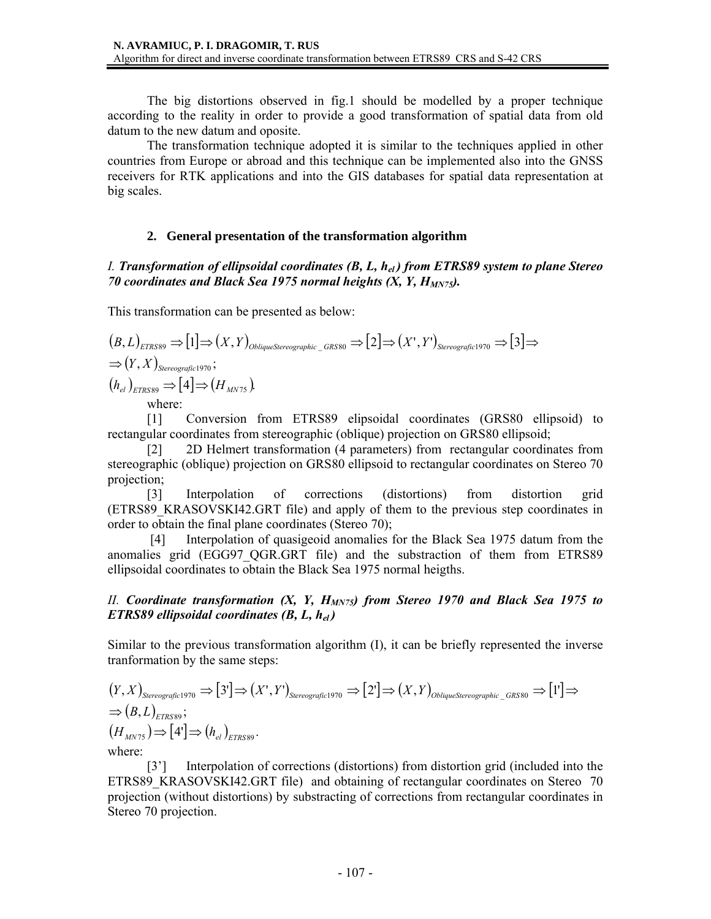The big distortions observed in fig.1 should be modelled by a proper technique according to the reality in order to provide a good transformation of spatial data from old datum to the new datum and oposite.

 The transformation technique adopted it is similar to the techniques applied in other countries from Europe or abroad and this technique can be implemented also into the GNSS receivers for RTK applications and into the GIS databases for spatial data representation at big scales.

### **2. General presentation of the transformation algorithm**

### *I. Transformation of ellipsoidal coordinates (B, L, hel ) from ETRS89 system to plane Stereo 70 coordinates and Black Sea 1975 normal heights*  $(X, Y, H_{MNT5})$ *.*

This transformation can be presented as below:

$$
(B, L)_{ETRS89} \Rightarrow [1] \Rightarrow (X, Y)_{\text{ObliqueStereographic_GRS80}} \Rightarrow [2] \Rightarrow (X', Y')_{\text{Stereographic1970}} \Rightarrow [3] \Rightarrow
$$
  
\n
$$
\Rightarrow (Y, X)_{\text{Stereographic1970}};
$$
  
\n
$$
(h_{el})_{ETRS89} \Rightarrow [4] \Rightarrow (H_{\text{MNT5}}).
$$
  
\nwhere:

[1] Conversion from ETRS89 elipsoidal coordinates (GRS80 ellipsoid) to rectangular coordinates from stereographic (oblique) projection on GRS80 ellipsoid;

[2] 2D Helmert transformation (4 parameters) from rectangular coordinates from stereographic (oblique) projection on GRS80 ellipsoid to rectangular coordinates on Stereo 70 projection;

[3] Interpolation of corrections (distortions) from distortion grid (ETRS89\_KRASOVSKI42.GRT file) and apply of them to the previous step coordinates in order to obtain the final plane coordinates (Stereo 70);

 [4] Interpolation of quasigeoid anomalies for the Black Sea 1975 datum from the anomalies grid (EGG97\_QGR.GRT file) and the substraction of them from ETRS89 ellipsoidal coordinates to obtain the Black Sea 1975 normal heigths.

### *II. Coordinate transformation*  $(X, Y, H_{MNT5})$  *from Stereo 1970 and Black Sea 1975 to ETRS89 ellipsoidal coordinates (B, L, hel )*

Similar to the previous transformation algorithm (I), it can be briefly represented the inverse tranformation by the same steps:

$$
(Y, X)_{\text{Stereografic1970}} \Rightarrow [3'] \Rightarrow (X', Y')_{\text{Stereografic1970}} \Rightarrow [2'] \Rightarrow (X, Y)_{\text{ObliqueStereografic}\_GRS80} \Rightarrow [1'] \Rightarrow
$$
  
\n
$$
\Rightarrow (B, L)_{\text{ETRS89}};
$$
  
\n
$$
(H_{\text{MNT5}}) \Rightarrow [4'] \Rightarrow (h_{el})_{\text{ETRS89}}.
$$
  
\nwhere:

where:

[3'] Interpolation of corrections (distortions) from distortion grid (included into the ETRS89 KRASOVSKI42.GRT file) and obtaining of rectangular coordinates on Stereo 70 projection (without distortions) by substracting of corrections from rectangular coordinates in Stereo 70 projection.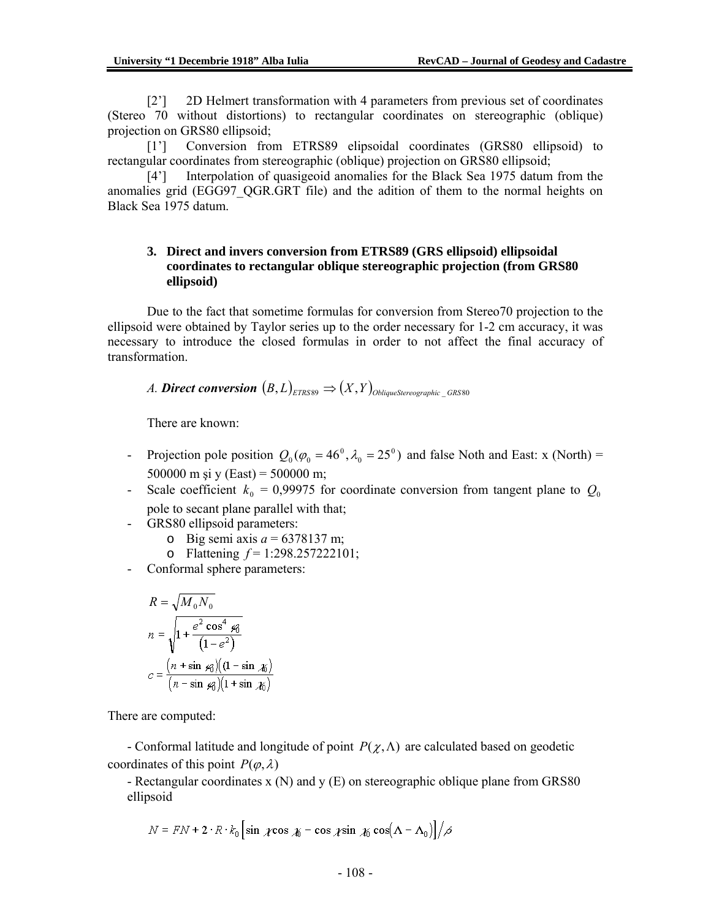[2'] 2D Helmert transformation with 4 parameters from previous set of coordinates (Stereo 70 without distortions) to rectangular coordinates on stereographic (oblique) projection on GRS80 ellipsoid;

[1'] Conversion from ETRS89 elipsoidal coordinates (GRS80 ellipsoid) to rectangular coordinates from stereographic (oblique) projection on GRS80 ellipsoid;

[4'] Interpolation of quasigeoid anomalies for the Black Sea 1975 datum from the anomalies grid (EGG97\_QGR.GRT file) and the adition of them to the normal heights on Black Sea 1975 datum.

#### **3. Direct and invers conversion from ETRS89 (GRS ellipsoid) ellipsoidal coordinates to rectangular oblique stereographic projection (from GRS80 ellipsoid)**

Due to the fact that sometime formulas for conversion from Stereo70 projection to the ellipsoid were obtained by Taylor series up to the order necessary for 1-2 cm accuracy, it was necessary to introduce the closed formulas in order to not affect the final accuracy of transformation.

*A. Direct conversion*  $(B, L)$ <sub>*ETRS89*  $\Rightarrow$   $(X, Y)$ <sub>*ObliqueStereographic GRS80*</sub></sub>

There are known:

- Projection pole position  $Q_0(\varphi_0 = 46^\circ, \lambda_0 = 25^\circ)$  and false Noth and East: x (North) = 500000 m si y (East) = 500000 m;
- Scale coefficient  $k_0 = 0.99975$  for coordinate conversion from tangent plane to  $Q_0$ pole to secant plane parallel with that;
- GRS80 ellipsoid parameters:
	- o Big semi axis *а* = 6378137 m;
	- o Flattening *f* = 1:298.257222101;
- Conformal sphere parameters:

$$
R = \sqrt{M_0 N_0}
$$
  
\n
$$
n = \sqrt{1 + \frac{e^2 \cos^4 \cancel{\varphi_0}}{(1 - e^2)}}
$$
  
\n
$$
c = \frac{(n + \sin \cancel{\varphi})(1 - \sin \cancel{\varphi_0})}{(n - \sin \cancel{\varphi_0})(1 + \sin \cancel{\varphi_0})}
$$

There are computed:

- Conformal latitude and longitude of point  $P(\chi,\Lambda)$  are calculated based on geodetic coordinates of this point  $P(\varphi, \lambda)$ 

- Rectangular coordinates x (N) and y (E) on stereographic oblique plane from GRS80 ellipsoid

$$
N = FN + 2 \cdot R \cdot k_0 \left[ \sin \cos \pi - \cos \pi \sin \pi \cos(\Lambda - \Lambda_0) \right] / \beta
$$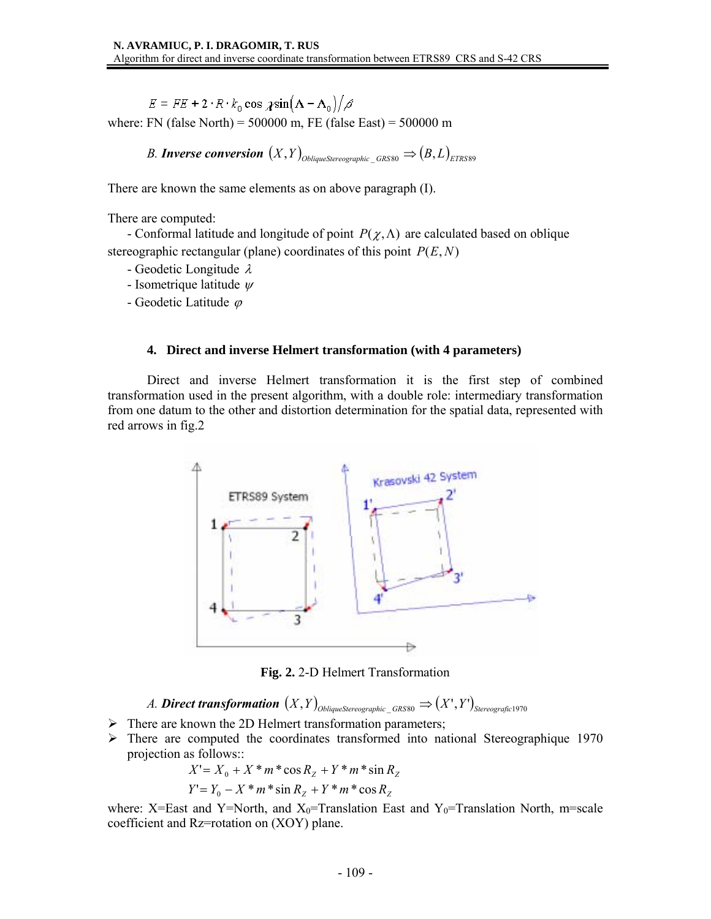$E = FE + 2 \cdot R \cdot k_0 \cos \chi \sin(\Lambda - \Lambda_0)/\sigma$ where: FN (false North) =  $500000$  m, FE (false East) =  $500000$  m

*B. Inverse conversion*  $(X, Y)_{\text{ObliqueStereoographic} GRS80} \Rightarrow (B, L)_{ETRSS0}$ 

There are known the same elements as on above paragraph (I).

There are computed:

- Conformal latitude and longitude of point  $P(\chi,\Lambda)$  are calculated based on oblique stereographic rectangular (plane) coordinates of this point *P*(*E*, *N*)

- Geodetic Longitude λ
- Isometrique latitude  $\psi$
- Geodetic Latitude <sup>ϕ</sup>

#### **4. Direct and inverse Helmert transformation (with 4 parameters)**

Direct and inverse Helmert transformation it is the first step of combined transformation used in the present algorithm, with a double role: intermediary transformation from one datum to the other and distortion determination for the spatial data, represented with red arrows in fig.2



**Fig. 2.** 2-D Helmert Transformation

*A.* Direct transformation  $(X, Y)_{\text{ObliqueStereographic\_GRSS0}} \Rightarrow (X', Y')_{\text{Stereographic\_GRSS0}}$ 

- $\triangleright$  There are known the 2D Helmert transformation parameters;
- $\triangleright$  There are computed the coordinates transformed into national Stereographique 1970 projection as follows::

$$
X' = X_0 + X * m * \cos R_Z + Y * m * \sin R_Z
$$
  
 
$$
Y' = Y_0 - X * m * \sin R_Z + Y * m * \cos R_Z
$$

where: X=East and Y=North, and  $X_0$ =Translation East and Y<sub>0</sub>=Translation North, m=scale coefficient and Rz=rotation on (XOY) plane.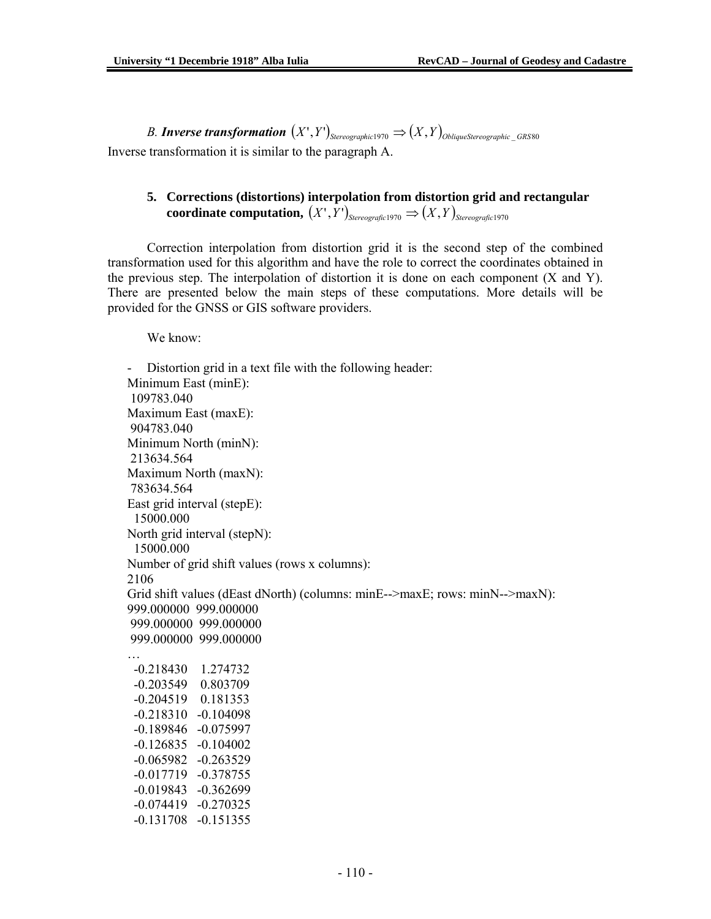*B. Inverse transformation*  $(X', Y')_{\text{Stereographic 1970}} \Rightarrow (X, Y)_{\text{ObliqueStereographic GRS80}}$ Inverse transformation it is similar to the paragraph A.

## **5. Corrections (distortions) interpolation from distortion grid and rectangular coordinate computation,**  $(X', Y')$ <sub>Stereografic</sub> 1970  $\Rightarrow$   $(X, Y)$ <sub>Stereografic</sub> 1970

Correction interpolation from distortion grid it is the second step of the combined transformation used for this algorithm and have the role to correct the coordinates obtained in the previous step. The interpolation of distortion it is done on each component  $(X \text{ and } Y)$ . There are presented below the main steps of these computations. More details will be provided for the GNSS or GIS software providers.

We know:

Distortion grid in a text file with the following header: Minimum East (minE): 109783.040 Maximum East (maxE): 904783.040 Minimum North (minN): 213634.564 Maximum North (maxN): 783634.564 East grid interval (stepE): 15000.000 North grid interval (stepN): 15000.000 Number of grid shift values (rows x columns): 2106 Grid shift values (dEast dNorth) (columns: minE-->maxE; rows: minN-->maxN): 999.000000 999.000000 999.000000 999.000000 999.000000 999.000000 … -0.218430 1.274732 -0.203549 0.803709 -0.204519 0.181353 -0.218310 -0.104098 -0.189846 -0.075997 -0.126835 -0.104002 -0.065982 -0.263529 -0.017719 -0.378755 -0.019843 -0.362699 -0.074419 -0.270325 -0.131708 -0.151355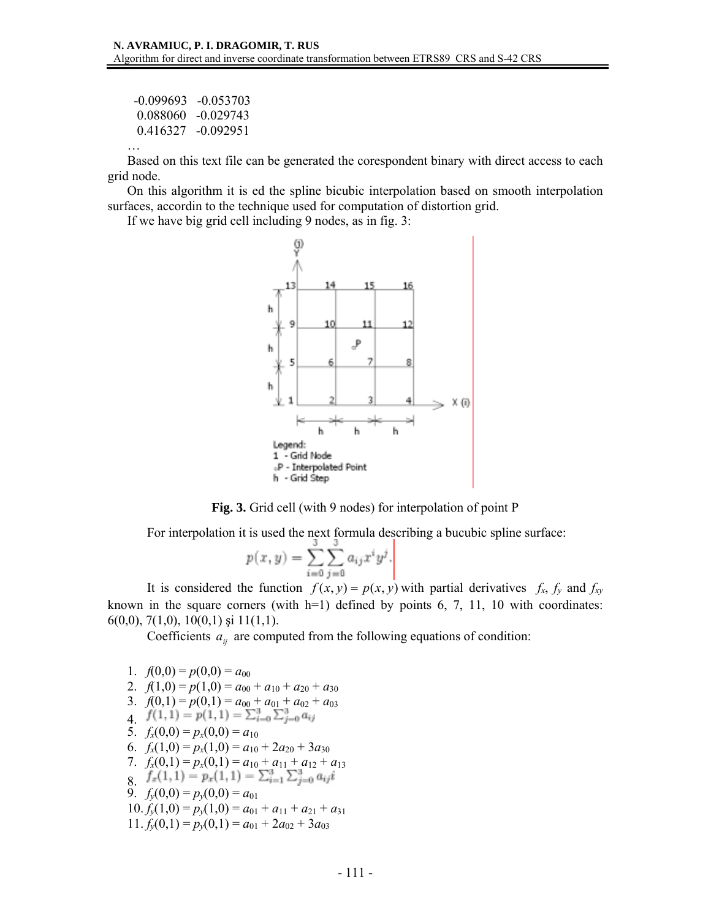| $-0.099693 - 0.053703$ |
|------------------------|
| $0.088060 - 0.029743$  |
| 0.416327 -0.092951     |
|                        |

Based on this text file can be generated the corespondent binary with direct access to each grid node.

On this algorithm it is ed the spline bicubic interpolation based on smooth interpolation surfaces, accordin to the technique used for computation of distortion grid.

If we have big grid cell including 9 nodes, as in fig. 3:





For interpolation it is used the next formula describing a bucubic spline surface:

$$
p(x, y) = \sum_{i=0}^{3} \sum_{j=0}^{3} a_{ij} x^{i} y^{j}.
$$

It is considered the function  $f(x, y) = p(x, y)$  with partial derivatives  $f_x$ ,  $f_y$  and  $f_{xy}$ known in the square corners (with  $h=1$ ) defined by points 6, 7, 11, 10 with coordinates: 6(0,0), 7(1,0), 10(0,1) și 11(1,1).

Coefficients  $a_{ij}$  are computed from the following equations of condition:

1.  $f(0,0) = p(0,0) = a_{00}$ 2.  $f(1,0) = p(1,0) = a_{00} + a_{10} + a_{20} + a_{30}$ 3.  $f(0,1) = p(0,1) = a_{00} + a_{01} + a_{02} + a_{03}$  $f(1,1) = p(1,1) = \sum_{i=0}^{3} \sum_{j=0}^{3} a_{ij}$ 5.  $f_x(0,0) = p_x(0,0) = a_{10}$ 6.  $f_x(1,0) = p_x(1,0) = a_{10} + 2a_{20} + 3a_{30}$ 7.  $f_x(0,1) = p_x(0,1) = a_{10} + a_{11} + a_{12} + a_{13}$ 8.  $f_x(1,1) = p_x(1,1) = \sum_{i=1}^{3} \sum_{j=0}^{3} a_{ij}i$ 9.  $f_y(0,0) = p_y(0,0) = a_{01}$  $10. f<sub>y</sub>(1,0) = p<sub>y</sub>(1,0) = a<sub>01</sub> + a<sub>11</sub> + a<sub>21</sub> + a<sub>31</sub>$  $11. f<sub>v</sub>(0,1) = p<sub>v</sub>(0,1) = a<sub>01</sub> + 2a<sub>02</sub> + 3a<sub>03</sub>$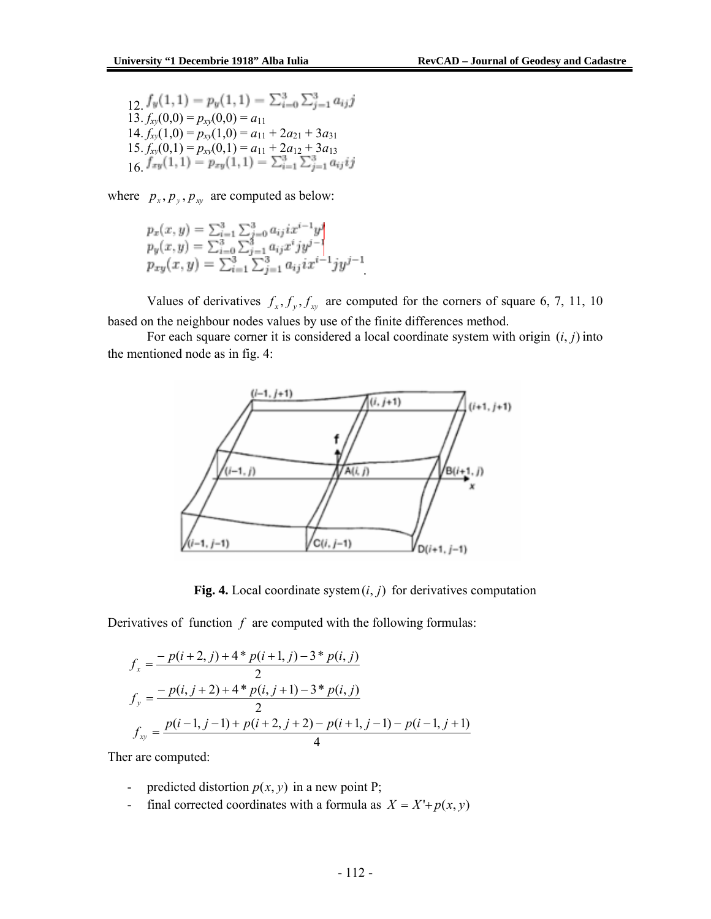12.  $13. f_{xy}(0,0) = p_{xy}(0,0) = a_{11}$  $14. f_{xy}(1,0) = p_{xy}(1,0) = a_{11} + 2a_{21} + 3a_{31}$  $15. f_{xy}(0,1) = p_{xy}(0,1) = a_{11} + 2a_{12} + 3a_{13}$ 16.

where  $p_x, p_y, p_{xy}$  are computed as below:

$$
p_x(x, y) = \sum_{i=1}^3 \sum_{j=0}^3 a_{ij} i x^{i-1} y^j
$$
  
\n
$$
p_y(x, y) = \sum_{i=0}^3 \sum_{j=1}^3 a_{ij} x^i j y^{j-1}
$$
  
\n
$$
p_{xy}(x, y) = \sum_{i=1}^3 \sum_{j=1}^3 a_{ij} i x^{i-1} j y^{j-1}
$$

Values of derivatives  $f_x, f_y, f_{xy}$  are computed for the corners of square 6, 7, 11, 10 based on the neighbour nodes values by use of the finite differences method.

For each square corner it is considered a local coordinate system with origin (*i*, *j*) into the mentioned node as in fig. 4:



**Fig. 4.** Local coordinate system  $(i, j)$  for derivatives computation

Derivatives of function  $f$  are computed with the following formulas:

$$
f_x = \frac{-p(i+2,j) + 4 * p(i+1,j) - 3 * p(i,j)}{2}
$$
  
\n
$$
f_y = \frac{-p(i,j+2) + 4 * p(i,j+1) - 3 * p(i,j)}{2}
$$
  
\n
$$
f_{xy} = \frac{p(i-1,j-1) + p(i+2,j+2) - p(i+1,j-1) - p(i-1,j+1)}{4}
$$

Ther are computed:

- predicted distortion  $p(x, y)$  in a new point P;
- final corrected coordinates with a formula as  $X = X' + p(x, y)$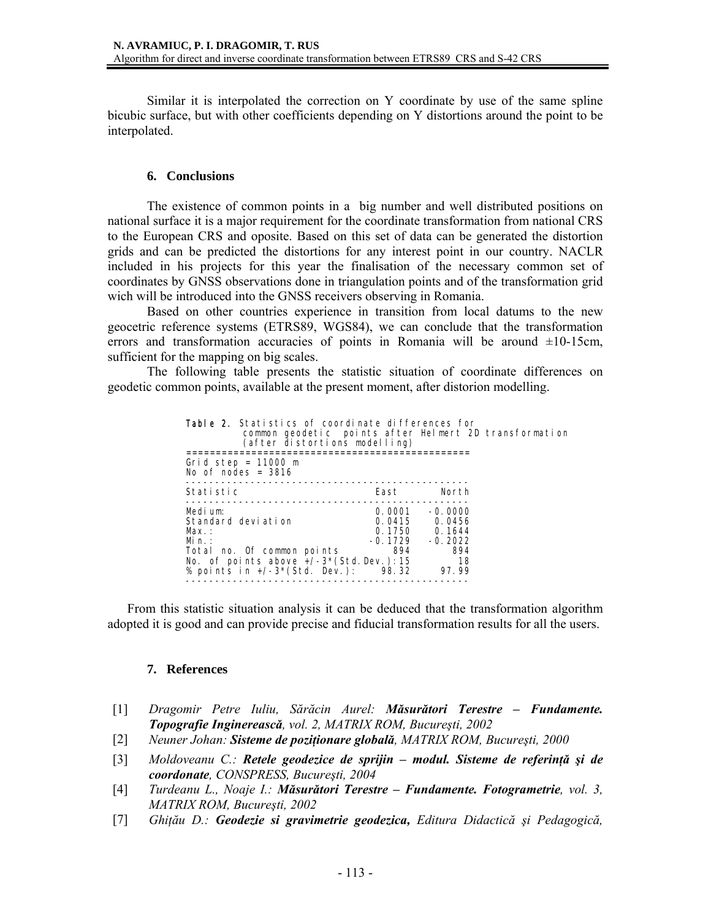Similar it is interpolated the correction on Y coordinate by use of the same spline bicubic surface, but with other coefficients depending on Y distortions around the point to be interpolated.

#### **6. Conclusions**

The existence of common points in a big number and well distributed positions on national surface it is a major requirement for the coordinate transformation from national CRS to the European CRS and oposite. Based on this set of data can be generated the distortion grids and can be predicted the distortions for any interest point in our country. NACLR included in his projects for this year the finalisation of the necessary common set of coordinates by GNSS observations done in triangulation points and of the transformation grid wich will be introduced into the GNSS receivers observing in Romania.

Based on other countries experience in transition from local datums to the new geocetric reference systems (ETRS89, WGS84), we can conclude that the transformation errors and transformation accuracies of points in Romania will be around  $\pm 10$ -15cm, sufficient for the mapping on big scales.

 The following table presents the statistic situation of coordinate differences on geodetic common points, available at the present moment, after distorion modelling.

| <b>Table 2.</b> Statistics of coordinate differences for<br>common geodetic points after Helmert 2D transformation<br>(after distortions modelling)            |                                   |                                                                                          |  |
|----------------------------------------------------------------------------------------------------------------------------------------------------------------|-----------------------------------|------------------------------------------------------------------------------------------|--|
| Grid step = $11000$ m<br>No of nodes = $3816$                                                                                                                  |                                   |                                                                                          |  |
| Stati sti c                                                                                                                                                    | East                              | North                                                                                    |  |
| Medium:<br>Standard deviation<br>Max.:<br>Min:<br>Total no. Of common points<br>No. of points above $+/-3*(Std. Dev.): 15$<br>% points in $+/-3*(Std. Dev.)$ : | 0.0001<br>-0.1729<br>894<br>98.32 | $-0.0000$<br>$0.0415$ $0.0456$<br>$0.1750$ $0.1644$<br>$-0.2022$<br>894<br>- 18<br>97.99 |  |

From this statistic situation analysis it can be deduced that the transformation algorithm adopted it is good and can provide precise and fiducial transformation results for all the users.

#### **7. References**

- [1] *Dragomir Petre Iuliu, Sărăcin Aurel: Măsurători Terestre Fundamente. Topografie Inginerească, vol. 2, MATRIX ROM, Bucureşti, 2002*
- [2] *Neuner Johan: Sisteme de poziţionare globală, MATRIX ROM, Bucureşti, 2000*
- [3] *Moldoveanu C.: Retele geodezice de sprijin modul. Sisteme de referinţă şi de coordonate, CONSPRESS, Bucureşti, 2004*
- [4] *Turdeanu L., Noaje I.: Măsurători Terestre Fundamente. Fotogrametrie, vol. 3, MATRIX ROM, Bucureşti, 2002*
- [7] *Ghiţău D.: Geodezie si gravimetrie geodezica, Editura Didactică şi Pedagogică,*